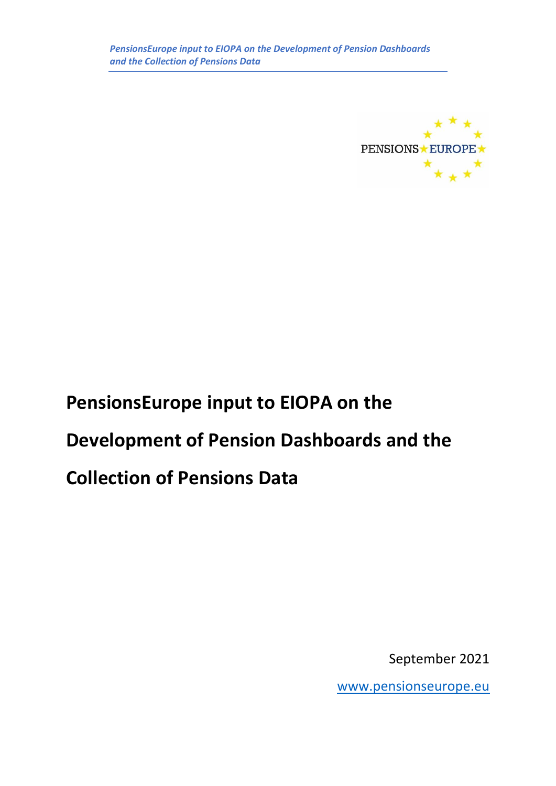

September 2021

[www.pensionseurope.eu](http://www.pensionseurope.eu/)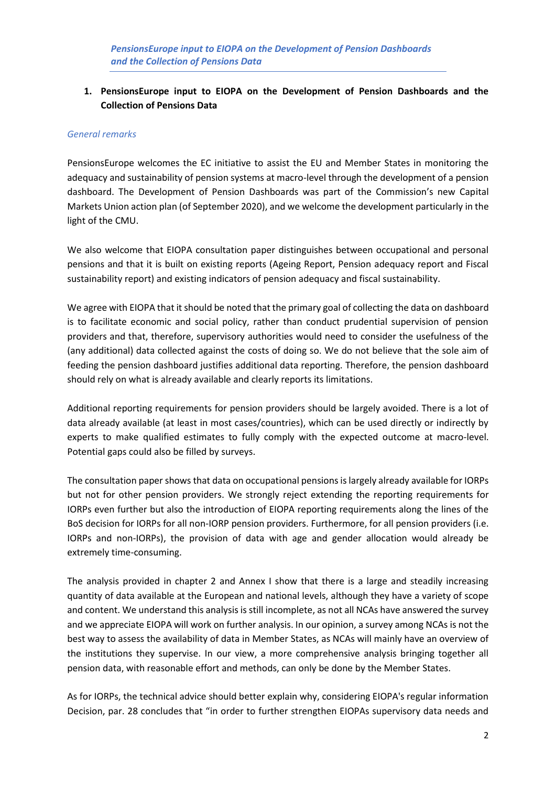#### *General remarks*

PensionsEurope welcomes the EC initiative to assist the EU and Member States in monitoring the adequacy and sustainability of pension systems at macro-level through the development of a pension dashboard. The Development of Pension Dashboards was part of the Commission's new Capital Markets Union action plan (of September 2020), and we welcome the development particularly in the light of the CMU.

We also welcome that EIOPA consultation paper distinguishes between occupational and personal pensions and that it is built on existing reports (Ageing Report, Pension adequacy report and Fiscal sustainability report) and existing indicators of pension adequacy and fiscal sustainability.

We agree with EIOPA that it should be noted that the primary goal of collecting the data on dashboard is to facilitate economic and social policy, rather than conduct prudential supervision of pension providers and that, therefore, supervisory authorities would need to consider the usefulness of the (any additional) data collected against the costs of doing so. We do not believe that the sole aim of feeding the pension dashboard justifies additional data reporting. Therefore, the pension dashboard should rely on what is already available and clearly reports its limitations.

Additional reporting requirements for pension providers should be largely avoided. There is a lot of data already available (at least in most cases/countries), which can be used directly or indirectly by experts to make qualified estimates to fully comply with the expected outcome at macro-level. Potential gaps could also be filled by surveys.

The consultation paper shows that data on occupational pensions is largely already available for IORPs but not for other pension providers. We strongly reject extending the reporting requirements for IORPs even further but also the introduction of EIOPA reporting requirements along the lines of the BoS decision for IORPs for all non-IORP pension providers. Furthermore, for all pension providers (i.e. IORPs and non-IORPs), the provision of data with age and gender allocation would already be extremely time-consuming.

The analysis provided in chapter 2 and Annex I show that there is a large and steadily increasing quantity of data available at the European and national levels, although they have a variety of scope and content. We understand this analysis is still incomplete, as not all NCAs have answered the survey and we appreciate EIOPA will work on further analysis. In our opinion, a survey among NCAs is not the best way to assess the availability of data in Member States, as NCAs will mainly have an overview of the institutions they supervise. In our view, a more comprehensive analysis bringing together all pension data, with reasonable effort and methods, can only be done by the Member States.

As for IORPs, the technical advice should better explain why, considering EIOPA's regular information Decision, par. 28 concludes that "in order to further strengthen EIOPAs supervisory data needs and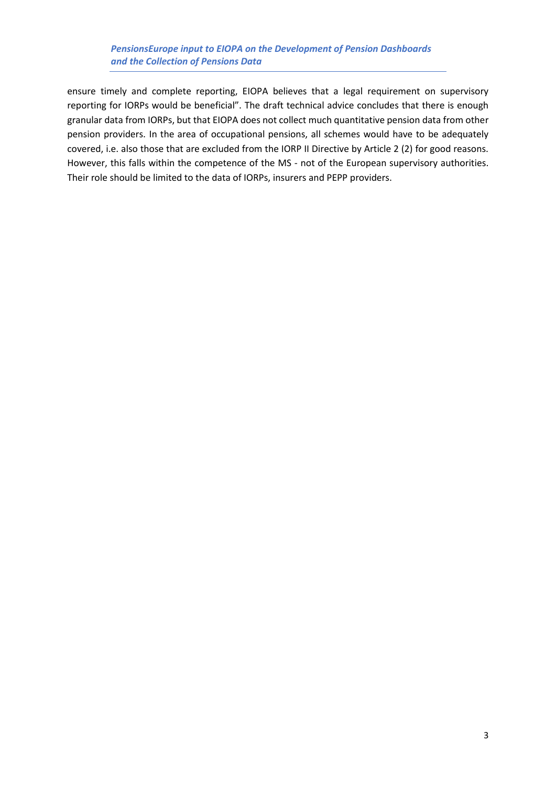ensure timely and complete reporting, EIOPA believes that a legal requirement on supervisory reporting for IORPs would be beneficial". The draft technical advice concludes that there is enough granular data from IORPs, but that EIOPA does not collect much quantitative pension data from other pension providers. In the area of occupational pensions, all schemes would have to be adequately covered, i.e. also those that are excluded from the IORP II Directive by Article 2 (2) for good reasons. However, this falls within the competence of the MS - not of the European supervisory authorities. Their role should be limited to the data of IORPs, insurers and PEPP providers.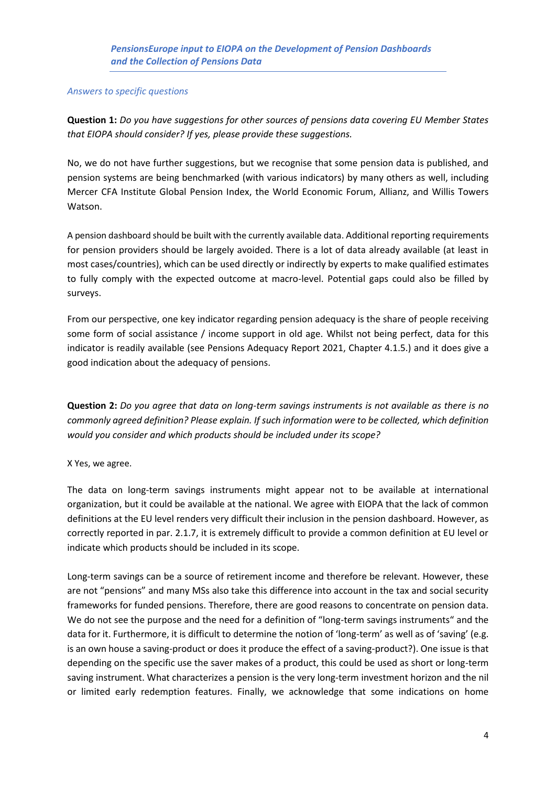#### *Answers to specific questions*

**Question 1:** *Do you have suggestions for other sources of pensions data covering EU Member States that EIOPA should consider? If yes, please provide these suggestions.*

No, we do not have further suggestions, but we recognise that some pension data is published, and pension systems are being benchmarked (with various indicators) by many others as well, including Mercer CFA Institute Global Pension Index, the World Economic Forum, Allianz, and Willis Towers Watson.

A pension dashboard should be built with the currently available data. Additional reporting requirements for pension providers should be largely avoided. There is a lot of data already available (at least in most cases/countries), which can be used directly or indirectly by experts to make qualified estimates to fully comply with the expected outcome at macro-level. Potential gaps could also be filled by surveys.

From our perspective, one key indicator regarding pension adequacy is the share of people receiving some form of social assistance / income support in old age. Whilst not being perfect, data for this indicator is readily available (see Pensions Adequacy Report 2021, Chapter 4.1.5.) and it does give a good indication about the adequacy of pensions.

**Question 2:** *Do you agree that data on long-term savings instruments is not available as there is no commonly agreed definition? Please explain. If such information were to be collected, which definition would you consider and which products should be included under its scope?*

## X Yes, we agree.

The data on long-term savings instruments might appear not to be available at international organization, but it could be available at the national. We agree with EIOPA that the lack of common definitions at the EU level renders very difficult their inclusion in the pension dashboard. However, as correctly reported in par. 2.1.7, it is extremely difficult to provide a common definition at EU level or indicate which products should be included in its scope.

Long-term savings can be a source of retirement income and therefore be relevant. However, these are not "pensions" and many MSs also take this difference into account in the tax and social security frameworks for funded pensions. Therefore, there are good reasons to concentrate on pension data. We do not see the purpose and the need for a definition of "long-term savings instruments" and the data for it. Furthermore, it is difficult to determine the notion of 'long-term' as well as of 'saving' (e.g. is an own house a saving-product or does it produce the effect of a saving-product?). One issue is that depending on the specific use the saver makes of a product, this could be used as short or long-term saving instrument. What characterizes a pension is the very long-term investment horizon and the nil or limited early redemption features. Finally, we acknowledge that some indications on home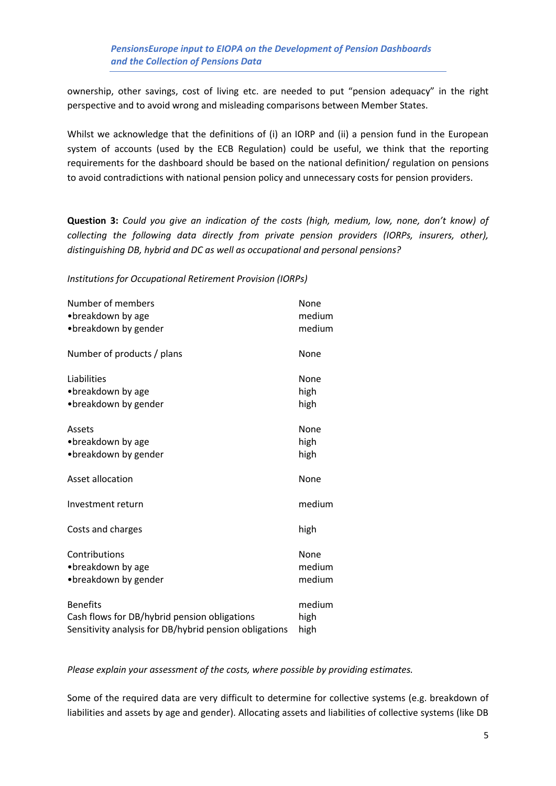ownership, other savings, cost of living etc. are needed to put "pension adequacy" in the right perspective and to avoid wrong and misleading comparisons between Member States.

Whilst we acknowledge that the definitions of (i) an IORP and (ii) a pension fund in the European system of accounts (used by the ECB Regulation) could be useful, we think that the reporting requirements for the dashboard should be based on the national definition/ regulation on pensions to avoid contradictions with national pension policy and unnecessary costs for pension providers.

**Question 3:** *Could you give an indication of the costs (high, medium, low, none, don't know) of collecting the following data directly from private pension providers (IORPs, insurers, other), distinguishing DB, hybrid and DC as well as occupational and personal pensions?* 

*Institutions for Occupational Retirement Provision (IORPs)* 

| Number of members                                      | None   |
|--------------------------------------------------------|--------|
| • breakdown by age                                     | medium |
| • breakdown by gender                                  | medium |
| Number of products / plans                             | None   |
| Liabilities                                            | None   |
| • breakdown by age                                     | high   |
| •breakdown by gender                                   | high   |
| Assets                                                 | None   |
| • breakdown by age                                     | high   |
| • breakdown by gender                                  | high   |
| Asset allocation                                       | None   |
| Investment return                                      | medium |
| Costs and charges                                      | high   |
| Contributions                                          | None   |
| • breakdown by age                                     | medium |
| •breakdown by gender                                   | medium |
| <b>Benefits</b>                                        | medium |
| Cash flows for DB/hybrid pension obligations           | high   |
| Sensitivity analysis for DB/hybrid pension obligations | high   |

*Please explain your assessment of the costs, where possible by providing estimates.*

Some of the required data are very difficult to determine for collective systems (e.g. breakdown of liabilities and assets by age and gender). Allocating assets and liabilities of collective systems (like DB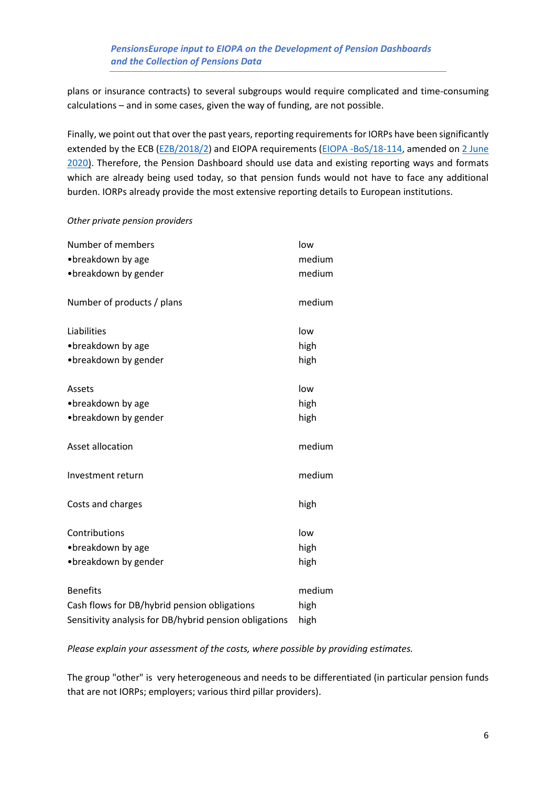plans or insurance contracts) to several subgroups would require complicated and time-consuming calculations – and in some cases, given the way of funding, are not possible.

Finally, we point out that over the past years, reporting requirements for IORPs have been significantly extended by the ECB [\(EZB/2018/2\)](https://eur-lex.europa.eu/legal-content/DE/TXT/PDF/?uri=CELEX:02018R0231-20180217&from=EN) and EIOPA requirements [\(EIOPA -BoS/18-114,](https://www.eiopa.europa.eu/sites/default/files/publications/pdfs/ddddecision_on_consultation_paper_eiopa-cp-17-005.pdf) amended o[n 2 June](https://www.eiopa.europa.eu/content/decision-eiopas-regular-information-requests-towards-ncas-regarding-provision-occupational)  [2020\)](https://www.eiopa.europa.eu/content/decision-eiopas-regular-information-requests-towards-ncas-regarding-provision-occupational). Therefore, the Pension Dashboard should use data and existing reporting ways and formats which are already being used today, so that pension funds would not have to face any additional burden. IORPs already provide the most extensive reporting details to European institutions.

#### *Other private pension providers*

| Number of members                                      | low    |
|--------------------------------------------------------|--------|
| • breakdown by age                                     | medium |
| • breakdown by gender                                  | medium |
| Number of products / plans                             | medium |
| Liabilities                                            | low    |
| • breakdown by age                                     | high   |
| • breakdown by gender                                  | high   |
| Assets                                                 | low    |
| • breakdown by age                                     | high   |
| •breakdown by gender                                   | high   |
| Asset allocation                                       | medium |
| Investment return                                      | medium |
| Costs and charges                                      | high   |
| Contributions                                          | low    |
| • breakdown by age                                     | high   |
| • breakdown by gender                                  | high   |
| <b>Benefits</b>                                        | medium |
| Cash flows for DB/hybrid pension obligations           | high   |
| Sensitivity analysis for DB/hybrid pension obligations | high   |

*Please explain your assessment of the costs, where possible by providing estimates.*

The group "other" is very heterogeneous and needs to be differentiated (in particular pension funds that are not IORPs; employers; various third pillar providers).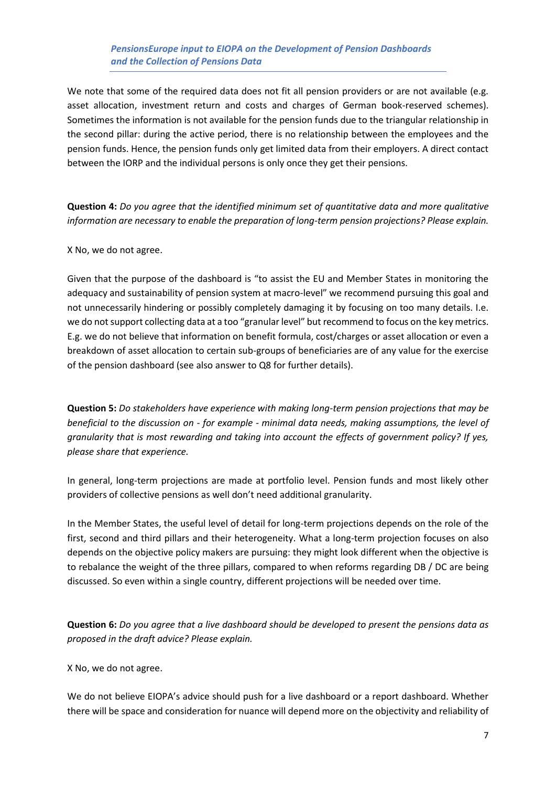We note that some of the required data does not fit all pension providers or are not available (e.g. asset allocation, investment return and costs and charges of German book-reserved schemes). Sometimes the information is not available for the pension funds due to the triangular relationship in the second pillar: during the active period, there is no relationship between the employees and the pension funds. Hence, the pension funds only get limited data from their employers. A direct contact between the IORP and the individual persons is only once they get their pensions.

**Question 4:** *Do you agree that the identified minimum set of quantitative data and more qualitative information are necessary to enable the preparation of long-term pension projections? Please explain.*

X No, we do not agree.

Given that the purpose of the dashboard is "to assist the EU and Member States in monitoring the adequacy and sustainability of pension system at macro-level" we recommend pursuing this goal and not unnecessarily hindering or possibly completely damaging it by focusing on too many details. I.e. we do not support collecting data at a too "granular level" but recommend to focus on the key metrics. E.g. we do not believe that information on benefit formula, cost/charges or asset allocation or even a breakdown of asset allocation to certain sub-groups of beneficiaries are of any value for the exercise of the pension dashboard (see also answer to Q8 for further details).

**Question 5:** *Do stakeholders have experience with making long-term pension projections that may be beneficial to the discussion on - for example - minimal data needs, making assumptions, the level of granularity that is most rewarding and taking into account the effects of government policy? If yes, please share that experience.*

In general, long-term projections are made at portfolio level. Pension funds and most likely other providers of collective pensions as well don't need additional granularity.

In the Member States, the useful level of detail for long-term projections depends on the role of the first, second and third pillars and their heterogeneity. What a long-term projection focuses on also depends on the objective policy makers are pursuing: they might look different when the objective is to rebalance the weight of the three pillars, compared to when reforms regarding DB / DC are being discussed. So even within a single country, different projections will be needed over time.

**Question 6:** *Do you agree that a live dashboard should be developed to present the pensions data as proposed in the draft advice? Please explain.*

X No, we do not agree.

We do not believe EIOPA's advice should push for a live dashboard or a report dashboard. Whether there will be space and consideration for nuance will depend more on the objectivity and reliability of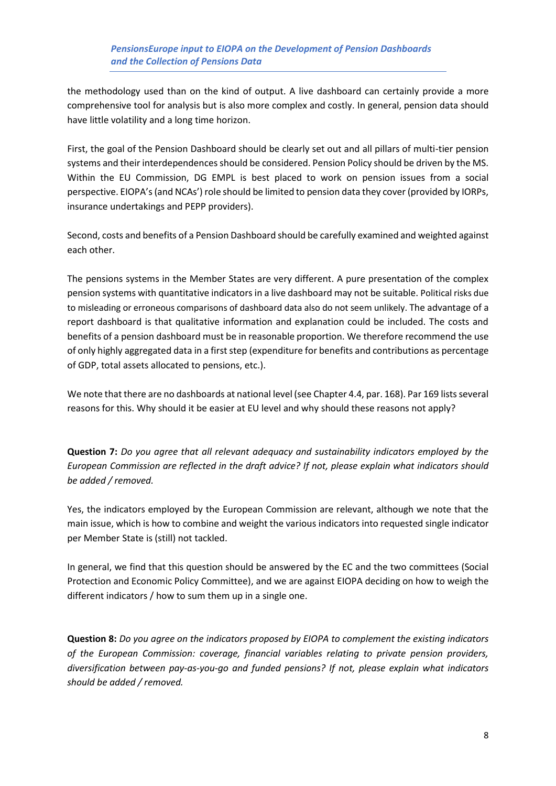the methodology used than on the kind of output. A live dashboard can certainly provide a more comprehensive tool for analysis but is also more complex and costly. In general, pension data should have little volatility and a long time horizon.

First, the goal of the Pension Dashboard should be clearly set out and all pillars of multi-tier pension systems and their interdependences should be considered. Pension Policy should be driven by the MS. Within the EU Commission, DG EMPL is best placed to work on pension issues from a social perspective. EIOPA's (and NCAs') role should be limited to pension data they cover (provided by IORPs, insurance undertakings and PEPP providers).

Second, costs and benefits of a Pension Dashboard should be carefully examined and weighted against each other.

The pensions systems in the Member States are very different. A pure presentation of the complex pension systems with quantitative indicators in a live dashboard may not be suitable. Political risks due to misleading or erroneous comparisons of dashboard data also do not seem unlikely. The advantage of a report dashboard is that qualitative information and explanation could be included. The costs and benefits of a pension dashboard must be in reasonable proportion. We therefore recommend the use of only highly aggregated data in a first step (expenditure for benefits and contributions as percentage of GDP, total assets allocated to pensions, etc.).

We note that there are no dashboards at national level (see Chapter 4.4, par. 168). Par 169 lists several reasons for this. Why should it be easier at EU level and why should these reasons not apply?

**Question 7:** *Do you agree that all relevant adequacy and sustainability indicators employed by the European Commission are reflected in the draft advice? If not, please explain what indicators should be added / removed.*

Yes, the indicators employed by the European Commission are relevant, although we note that the main issue, which is how to combine and weight the various indicators into requested single indicator per Member State is (still) not tackled.

In general, we find that this question should be answered by the EC and the two committees (Social Protection and Economic Policy Committee), and we are against EIOPA deciding on how to weigh the different indicators / how to sum them up in a single one.

**Question 8:** *Do you agree on the indicators proposed by EIOPA to complement the existing indicators of the European Commission: coverage, financial variables relating to private pension providers, diversification between pay-as-you-go and funded pensions? If not, please explain what indicators should be added / removed.*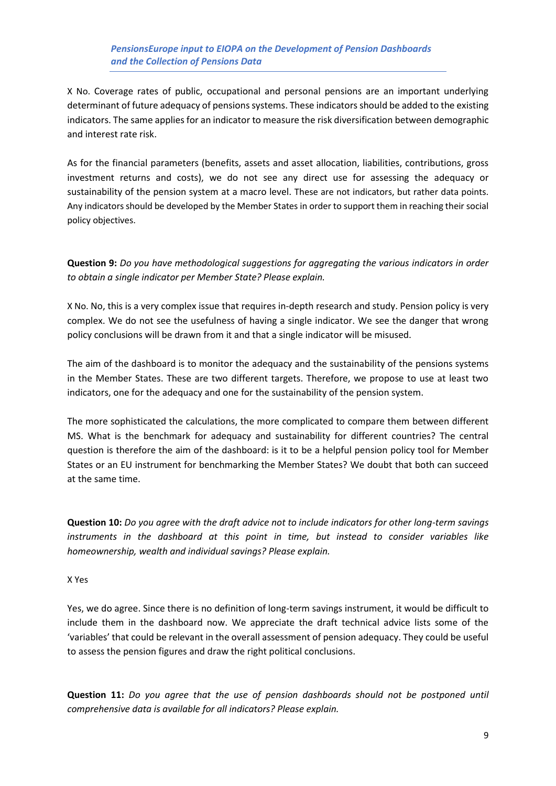X No. Coverage rates of public, occupational and personal pensions are an important underlying determinant of future adequacy of pensions systems. These indicators should be added to the existing indicators. The same applies for an indicator to measure the risk diversification between demographic and interest rate risk.

As for the financial parameters (benefits, assets and asset allocation, liabilities, contributions, gross investment returns and costs), we do not see any direct use for assessing the adequacy or sustainability of the pension system at a macro level. These are not indicators, but rather data points. Any indicators should be developed by the Member States in order to support them in reaching their social policy objectives.

**Question 9:** *Do you have methodological suggestions for aggregating the various indicators in order to obtain a single indicator per Member State? Please explain.*

X No. No, this is a very complex issue that requires in-depth research and study. Pension policy is very complex. We do not see the usefulness of having a single indicator. We see the danger that wrong policy conclusions will be drawn from it and that a single indicator will be misused.

The aim of the dashboard is to monitor the adequacy and the sustainability of the pensions systems in the Member States. These are two different targets. Therefore, we propose to use at least two indicators, one for the adequacy and one for the sustainability of the pension system.

The more sophisticated the calculations, the more complicated to compare them between different MS. What is the benchmark for adequacy and sustainability for different countries? The central question is therefore the aim of the dashboard: is it to be a helpful pension policy tool for Member States or an EU instrument for benchmarking the Member States? We doubt that both can succeed at the same time.

**Question 10:** *Do you agree with the draft advice not to include indicators for other long-term savings instruments in the dashboard at this point in time, but instead to consider variables like homeownership, wealth and individual savings? Please explain.*

#### X Yes

Yes, we do agree. Since there is no definition of long-term savings instrument, it would be difficult to include them in the dashboard now. We appreciate the draft technical advice lists some of the 'variables' that could be relevant in the overall assessment of pension adequacy. They could be useful to assess the pension figures and draw the right political conclusions.

**Question 11:** *Do you agree that the use of pension dashboards should not be postponed until comprehensive data is available for all indicators? Please explain.*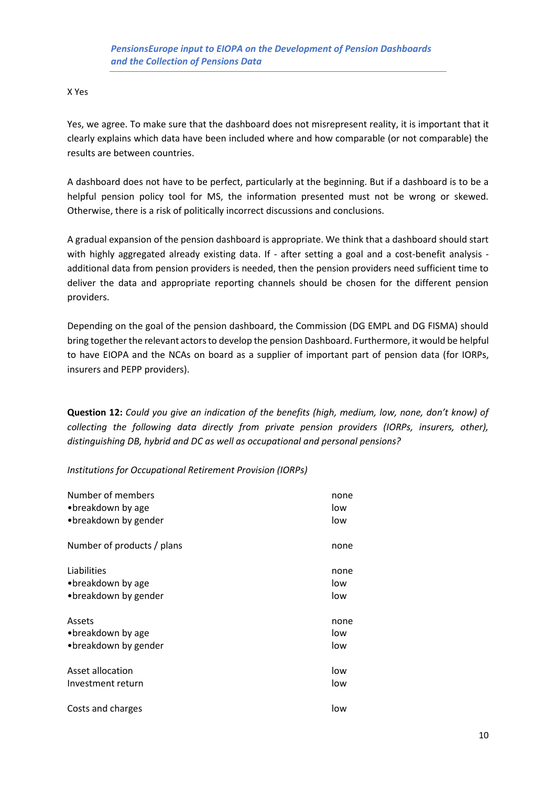#### X Yes

Yes, we agree. To make sure that the dashboard does not misrepresent reality, it is important that it clearly explains which data have been included where and how comparable (or not comparable) the results are between countries.

A dashboard does not have to be perfect, particularly at the beginning. But if a dashboard is to be a helpful pension policy tool for MS, the information presented must not be wrong or skewed. Otherwise, there is a risk of politically incorrect discussions and conclusions.

A gradual expansion of the pension dashboard is appropriate. We think that a dashboard should start with highly aggregated already existing data. If - after setting a goal and a cost-benefit analysis additional data from pension providers is needed, then the pension providers need sufficient time to deliver the data and appropriate reporting channels should be chosen for the different pension providers.

Depending on the goal of the pension dashboard, the Commission (DG EMPL and DG FISMA) should bring together the relevant actors to develop the pension Dashboard. Furthermore, it would be helpful to have EIOPA and the NCAs on board as a supplier of important part of pension data (for IORPs, insurers and PEPP providers).

**Question 12:** *Could you give an indication of the benefits (high, medium, low, none, don't know) of collecting the following data directly from private pension providers (IORPs, insurers, other), distinguishing DB, hybrid and DC as well as occupational and personal pensions?*

*Institutions for Occupational Retirement Provision (IORPs)* 

| Number of members          | none |
|----------------------------|------|
| •breakdown by age          | low  |
| •breakdown by gender       | low  |
| Number of products / plans | none |
| Liabilities                | none |
| • breakdown by age         | low  |
| •breakdown by gender       | low  |
| Assets                     | none |
| •breakdown by age          | low  |
| • breakdown by gender      | low  |
| Asset allocation           | low  |
| Investment return          | low  |
| Costs and charges          | low  |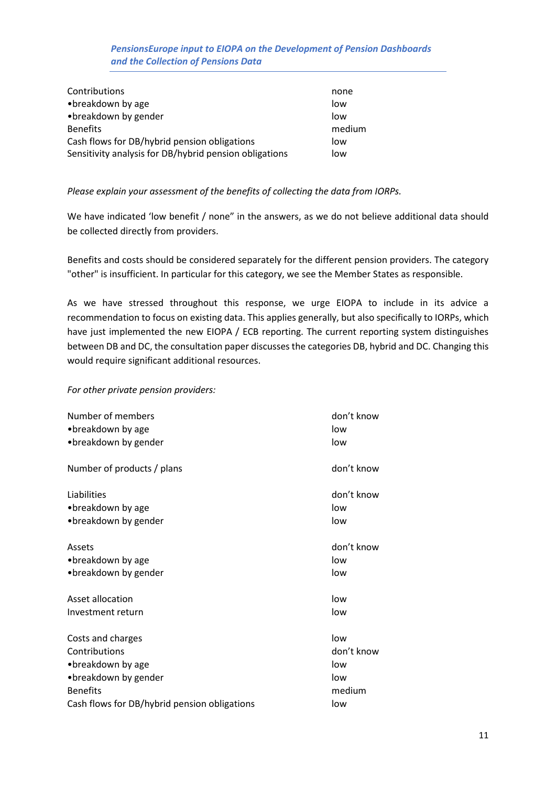| Contributions                                          | none   |
|--------------------------------------------------------|--------|
| •breakdown by age                                      | low    |
| • breakdown by gender                                  | low    |
| <b>Benefits</b>                                        | medium |
| Cash flows for DB/hybrid pension obligations           | low    |
| Sensitivity analysis for DB/hybrid pension obligations | low    |

#### *Please explain your assessment of the benefits of collecting the data from IORPs.*

We have indicated 'low benefit / none" in the answers, as we do not believe additional data should be collected directly from providers.

Benefits and costs should be considered separately for the different pension providers. The category "other" is insufficient. In particular for this category, we see the Member States as responsible.

As we have stressed throughout this response, we urge EIOPA to include in its advice a recommendation to focus on existing data. This applies generally, but also specifically to IORPs, which have just implemented the new EIOPA / ECB reporting. The current reporting system distinguishes between DB and DC, the consultation paper discusses the categories DB, hybrid and DC. Changing this would require significant additional resources.

#### *For other private pension providers:*

| Number of members<br>•breakdown by age       | don't know<br>low |
|----------------------------------------------|-------------------|
| • breakdown by gender                        | low               |
| Number of products / plans                   | don't know        |
| Liabilities                                  | don't know        |
| • breakdown by age                           | low               |
| • breakdown by gender                        | low               |
| Assets                                       | don't know        |
| •breakdown by age                            | low               |
| • breakdown by gender                        | low               |
| Asset allocation                             | low               |
| Investment return                            | low               |
| Costs and charges                            | low               |
| Contributions                                | don't know        |
| • breakdown by age                           | low               |
| • breakdown by gender                        | low               |
| <b>Benefits</b>                              | medium            |
| Cash flows for DB/hybrid pension obligations | low               |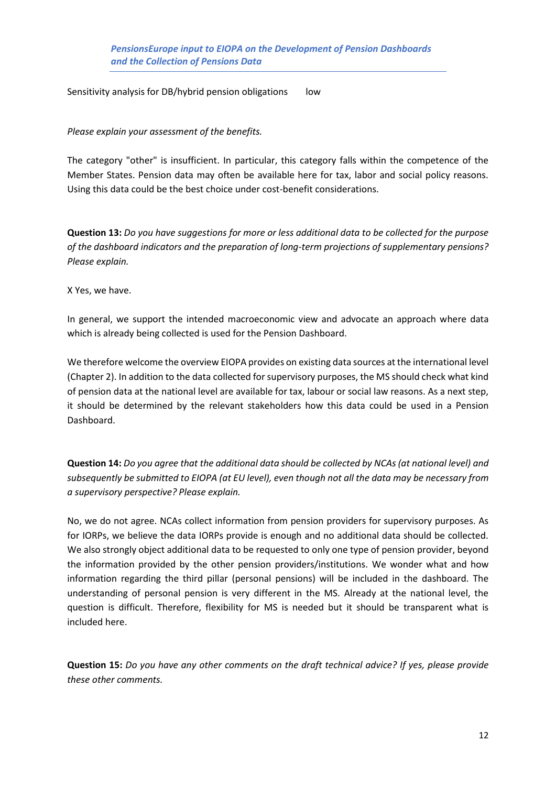Sensitivity analysis for DB/hybrid pension obligations low

*Please explain your assessment of the benefits.* 

The category "other" is insufficient. In particular, this category falls within the competence of the Member States. Pension data may often be available here for tax, labor and social policy reasons. Using this data could be the best choice under cost-benefit considerations.

**Question 13:** *Do you have suggestions for more or less additional data to be collected for the purpose of the dashboard indicators and the preparation of long-term projections of supplementary pensions? Please explain.*

X Yes, we have.

In general, we support the intended macroeconomic view and advocate an approach where data which is already being collected is used for the Pension Dashboard.

We therefore welcome the overview EIOPA provides on existing data sources at the international level (Chapter 2). In addition to the data collected for supervisory purposes, the MS should check what kind of pension data at the national level are available for tax, labour or social law reasons. As a next step, it should be determined by the relevant stakeholders how this data could be used in a Pension Dashboard.

**Question 14:** *Do you agree that the additional data should be collected by NCAs (at national level) and subsequently be submitted to EIOPA (at EU level), even though not all the data may be necessary from a supervisory perspective? Please explain.*

No, we do not agree. NCAs collect information from pension providers for supervisory purposes. As for IORPs, we believe the data IORPs provide is enough and no additional data should be collected. We also strongly object additional data to be requested to only one type of pension provider, beyond the information provided by the other pension providers/institutions. We wonder what and how information regarding the third pillar (personal pensions) will be included in the dashboard. The understanding of personal pension is very different in the MS. Already at the national level, the question is difficult. Therefore, flexibility for MS is needed but it should be transparent what is included here.

**Question 15:** *Do you have any other comments on the draft technical advice? If yes, please provide these other comments.*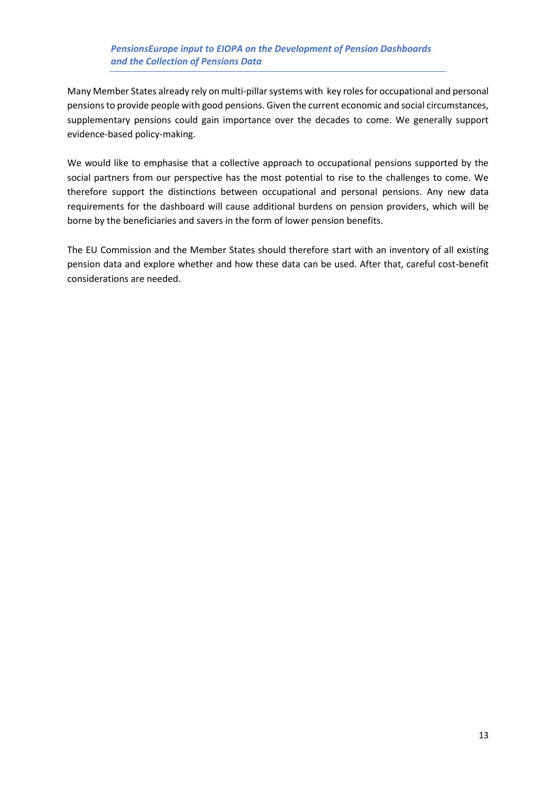Many Member States already rely on multi-pillar systems with key roles for occupational and personal pensions to provide people with good pensions. Given the current economic and social circumstances, supplementary pensions could gain importance over the decades to come. We generally support evidence-based policy-making.

We would like to emphasise that a collective approach to occupational pensions supported by the social partners from our perspective has the most potential to rise to the challenges to come. We therefore support the distinctions between occupational and personal pensions. Any new data requirements for the dashboard will cause additional burdens on pension providers, which will be borne by the beneficiaries and savers in the form of lower pension benefits.

The EU Commission and the Member States should therefore start with an inventory of all existing pension data and explore whether and how these data can be used. After that, careful cost-benefit considerations are needed.